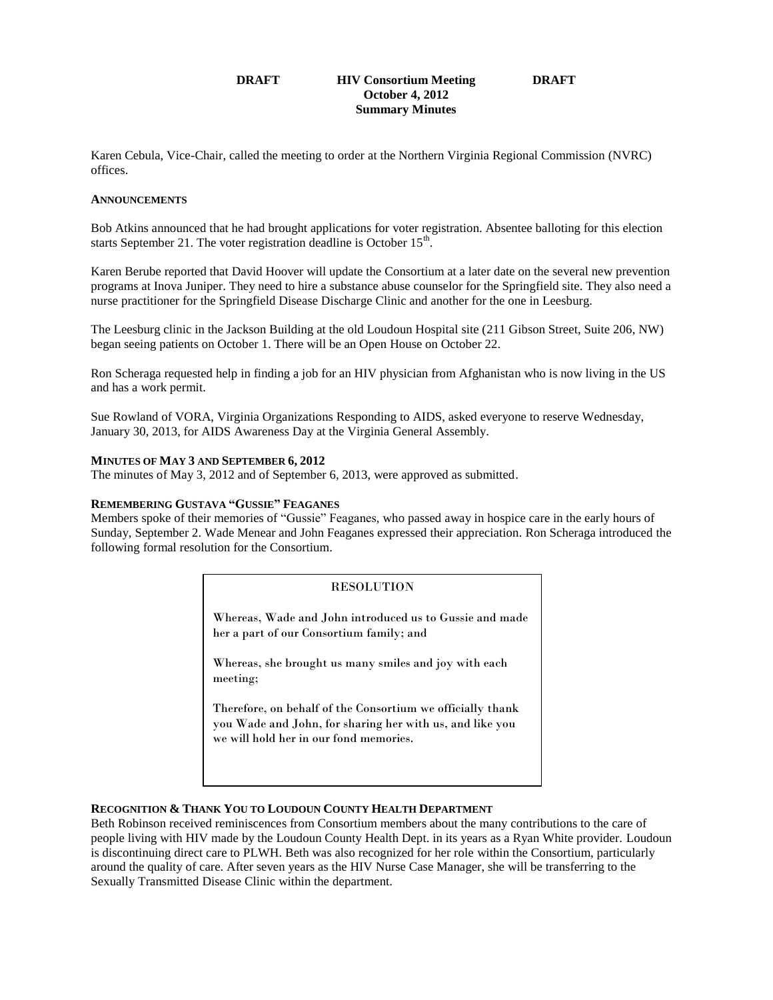### **DRAFT HIV Consortium Meeting DRAFT October 4, 2012 Summary Minutes**

Karen Cebula, Vice-Chair, called the meeting to order at the Northern Virginia Regional Commission (NVRC) offices.

### **ANNOUNCEMENTS**

Bob Atkins announced that he had brought applications for voter registration. Absentee balloting for this election starts September 21. The voter registration deadline is October  $15<sup>th</sup>$ .

Karen Berube reported that David Hoover will update the Consortium at a later date on the several new prevention programs at Inova Juniper. They need to hire a substance abuse counselor for the Springfield site. They also need a nurse practitioner for the Springfield Disease Discharge Clinic and another for the one in Leesburg.

The Leesburg clinic in the Jackson Building at the old Loudoun Hospital site (211 Gibson Street, Suite 206, NW) began seeing patients on October 1. There will be an Open House on October 22.

Ron Scheraga requested help in finding a job for an HIV physician from Afghanistan who is now living in the US and has a work permit.

Sue Rowland of VORA, Virginia Organizations Responding to AIDS, asked everyone to reserve Wednesday, January 30, 2013, for AIDS Awareness Day at the Virginia General Assembly.

## **MINUTES OF MAY 3 AND SEPTEMBER 6, 2012**

The minutes of May 3, 2012 and of September 6, 2013, were approved as submitted.

### **REMEMBERING GUSTAVA "GUSSIE" FEAGANES**

Members spoke of their memories of "Gussie" Feaganes, who passed away in hospice care in the early hours of Sunday, September 2. Wade Menear and John Feaganes expressed their appreciation. Ron Scheraga introduced the following formal resolution for the Consortium.

### **RESOLUTION**

Whereas, Wade and John introduced us to Gussie and made her a part of our Consortium family; and

Whereas, she brought us many smiles and joy with each meeting;

Therefore, on behalf of the Consortium we officially thank you Wade and John, for sharing her with us, and like you we will hold her in our fond memories.

### **RECOGNITION & THANK YOU TO LOUDOUN COUNTY HEALTH DEPARTMENT**

Beth Robinson received reminiscences from Consortium members about the many contributions to the care of people living with HIV made by the Loudoun County Health Dept. in its years as a Ryan White provider. Loudoun is discontinuing direct care to PLWH. Beth was also recognized for her role within the Consortium, particularly around the quality of care. After seven years as the HIV Nurse Case Manager, she will be transferring to the Sexually Transmitted Disease Clinic within the department.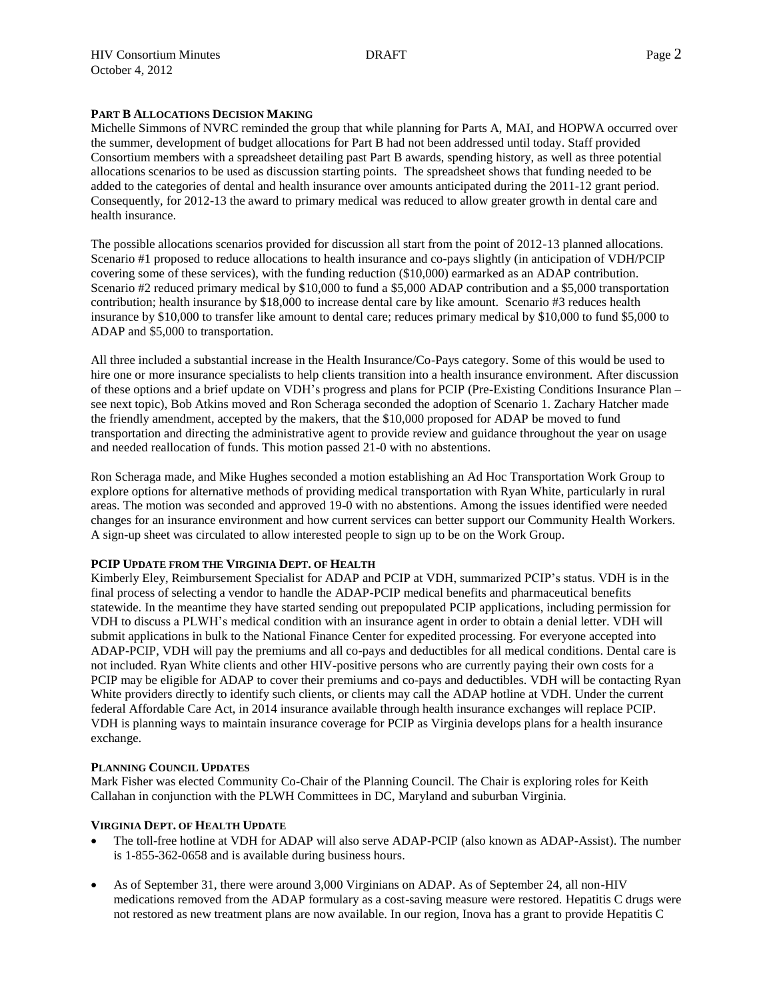## **PART B ALLOCATIONS DECISION MAKING**

Michelle Simmons of NVRC reminded the group that while planning for Parts A, MAI, and HOPWA occurred over the summer, development of budget allocations for Part B had not been addressed until today. Staff provided Consortium members with a spreadsheet detailing past Part B awards, spending history, as well as three potential allocations scenarios to be used as discussion starting points. The spreadsheet shows that funding needed to be added to the categories of dental and health insurance over amounts anticipated during the 2011-12 grant period. Consequently, for 2012-13 the award to primary medical was reduced to allow greater growth in dental care and health insurance.

The possible allocations scenarios provided for discussion all start from the point of 2012-13 planned allocations. Scenario #1 proposed to reduce allocations to health insurance and co-pays slightly (in anticipation of VDH/PCIP covering some of these services), with the funding reduction (\$10,000) earmarked as an ADAP contribution. Scenario #2 reduced primary medical by \$10,000 to fund a \$5,000 ADAP contribution and a \$5,000 transportation contribution; health insurance by \$18,000 to increase dental care by like amount. Scenario #3 reduces health insurance by \$10,000 to transfer like amount to dental care; reduces primary medical by \$10,000 to fund \$5,000 to ADAP and \$5,000 to transportation.

All three included a substantial increase in the Health Insurance/Co-Pays category. Some of this would be used to hire one or more insurance specialists to help clients transition into a health insurance environment. After discussion of these options and a brief update on VDH's progress and plans for PCIP (Pre-Existing Conditions Insurance Plan – see next topic), Bob Atkins moved and Ron Scheraga seconded the adoption of Scenario 1. Zachary Hatcher made the friendly amendment, accepted by the makers, that the \$10,000 proposed for ADAP be moved to fund transportation and directing the administrative agent to provide review and guidance throughout the year on usage and needed reallocation of funds. This motion passed 21-0 with no abstentions.

Ron Scheraga made, and Mike Hughes seconded a motion establishing an Ad Hoc Transportation Work Group to explore options for alternative methods of providing medical transportation with Ryan White, particularly in rural areas. The motion was seconded and approved 19-0 with no abstentions. Among the issues identified were needed changes for an insurance environment and how current services can better support our Community Health Workers. A sign-up sheet was circulated to allow interested people to sign up to be on the Work Group.

### **PCIP UPDATE FROM THE VIRGINIA DEPT. OF HEALTH**

Kimberly Eley, Reimbursement Specialist for ADAP and PCIP at VDH, summarized PCIP's status. VDH is in the final process of selecting a vendor to handle the ADAP-PCIP medical benefits and pharmaceutical benefits statewide. In the meantime they have started sending out prepopulated PCIP applications, including permission for VDH to discuss a PLWH's medical condition with an insurance agent in order to obtain a denial letter. VDH will submit applications in bulk to the National Finance Center for expedited processing. For everyone accepted into ADAP-PCIP, VDH will pay the premiums and all co-pays and deductibles for all medical conditions. Dental care is not included. Ryan White clients and other HIV-positive persons who are currently paying their own costs for a PCIP may be eligible for ADAP to cover their premiums and co-pays and deductibles. VDH will be contacting Ryan White providers directly to identify such clients, or clients may call the ADAP hotline at VDH. Under the current federal Affordable Care Act, in 2014 insurance available through health insurance exchanges will replace PCIP. VDH is planning ways to maintain insurance coverage for PCIP as Virginia develops plans for a health insurance exchange.

# **PLANNING COUNCIL UPDATES**

Mark Fisher was elected Community Co-Chair of the Planning Council. The Chair is exploring roles for Keith Callahan in conjunction with the PLWH Committees in DC, Maryland and suburban Virginia.

# **VIRGINIA DEPT. OF HEALTH UPDATE**

- The toll-free hotline at VDH for ADAP will also serve ADAP-PCIP (also known as ADAP-Assist). The number is 1-855-362-0658 and is available during business hours.
- As of September 31, there were around 3,000 Virginians on ADAP. As of September 24, all non-HIV medications removed from the ADAP formulary as a cost-saving measure were restored. Hepatitis C drugs were not restored as new treatment plans are now available. In our region, Inova has a grant to provide Hepatitis C